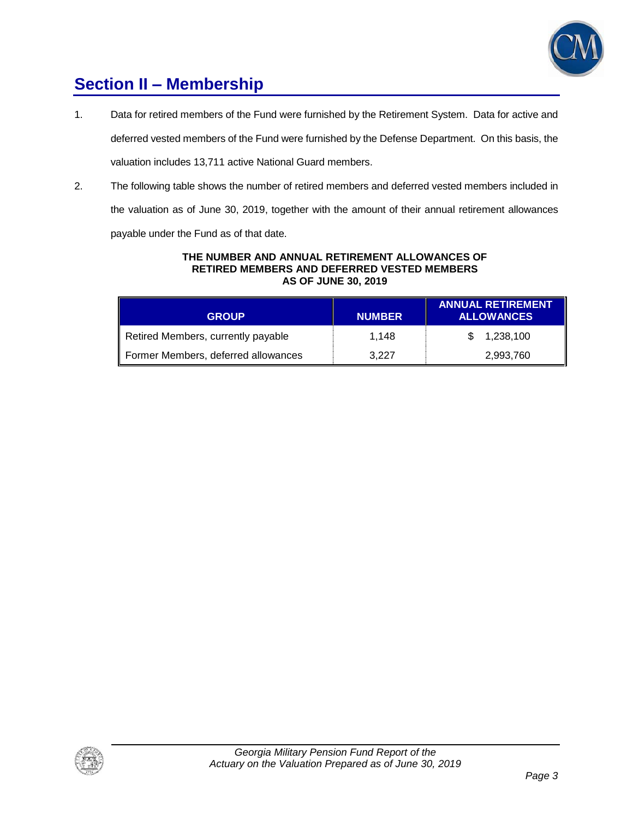

## **Section II – Membership**

1. Data for retired members of the Fund were furnished by the Retirement System. Data for active and

deferred vested members of the Fund were furnished by the Defense Department. On this basis, the valuation includes 13,711 active National Guard members.

2. The following table shows the number of retired members and deferred vested members included in

the valuation as of June 30, 2019, together with the amount of their annual retirement allowances

payable under the Fund as of that date.

#### **THE NUMBER AND ANNUAL RETIREMENT ALLOWANCES OF RETIRED MEMBERS AND DEFERRED VESTED MEMBERS AS OF JUNE 30, 2019**

| <b>GROUP</b>                        | <b>NUMBER</b> | <b>ANNUAL RETIREMENT</b><br><b>ALLOWANCES</b> |
|-------------------------------------|---------------|-----------------------------------------------|
| Retired Members, currently payable  | 1.148         | 1,238,100                                     |
| Former Members, deferred allowances | 3.227         | 2,993,760                                     |

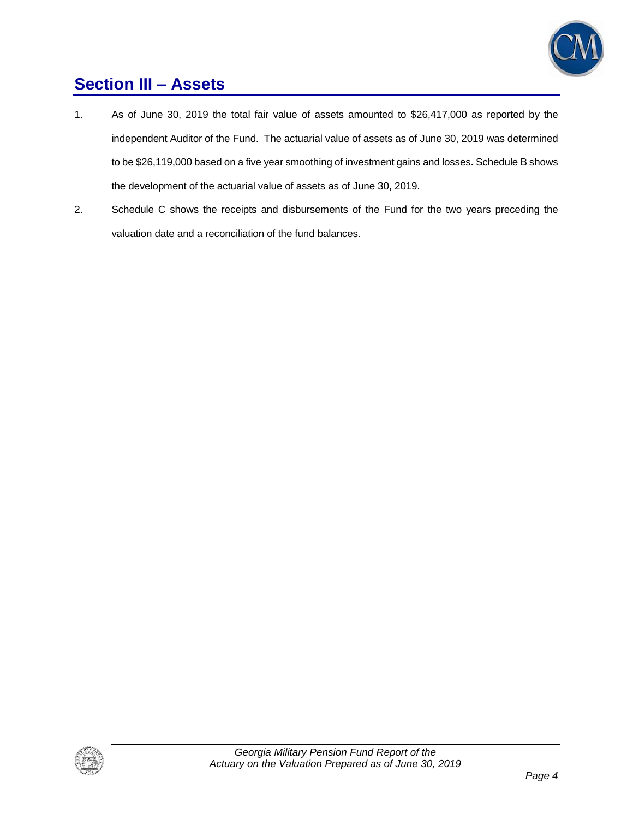

## **Section III – Assets**

- 1. As of June 30, 2019 the total fair value of assets amounted to \$26,417,000 as reported by the independent Auditor of the Fund. The actuarial value of assets as of June 30, 2019 was determined to be \$26,119,000 based on a five year smoothing of investment gains and losses. Schedule B shows the development of the actuarial value of assets as of June 30, 2019.
- 2. Schedule C shows the receipts and disbursements of the Fund for the two years preceding the valuation date and a reconciliation of the fund balances.

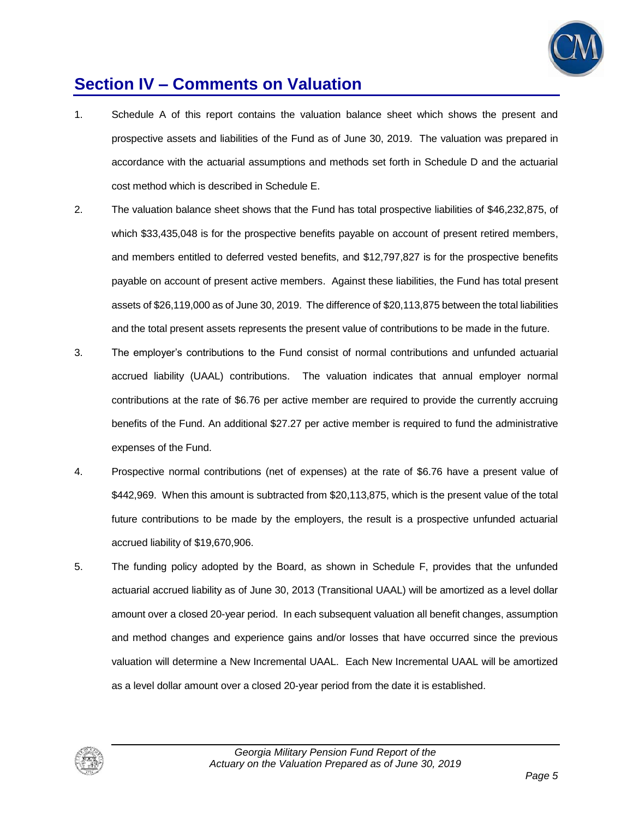

## **Section IV – Comments on Valuation**

- 1. Schedule A of this report contains the valuation balance sheet which shows the present and prospective assets and liabilities of the Fund as of June 30, 2019. The valuation was prepared in accordance with the actuarial assumptions and methods set forth in Schedule D and the actuarial cost method which is described in Schedule E.
- 2. The valuation balance sheet shows that the Fund has total prospective liabilities of \$46,232,875, of which \$33,435,048 is for the prospective benefits payable on account of present retired members, and members entitled to deferred vested benefits, and \$12,797,827 is for the prospective benefits payable on account of present active members. Against these liabilities, the Fund has total present assets of \$26,119,000 as of June 30, 2019. The difference of \$20,113,875 between the total liabilities and the total present assets represents the present value of contributions to be made in the future.
- 3. The employer's contributions to the Fund consist of normal contributions and unfunded actuarial accrued liability (UAAL) contributions. The valuation indicates that annual employer normal contributions at the rate of \$6.76 per active member are required to provide the currently accruing benefits of the Fund. An additional \$27.27 per active member is required to fund the administrative expenses of the Fund.
- 4. Prospective normal contributions (net of expenses) at the rate of \$6.76 have a present value of \$442,969. When this amount is subtracted from \$20,113,875, which is the present value of the total future contributions to be made by the employers, the result is a prospective unfunded actuarial accrued liability of \$19,670,906.
- 5. The funding policy adopted by the Board, as shown in Schedule F, provides that the unfunded actuarial accrued liability as of June 30, 2013 (Transitional UAAL) will be amortized as a level dollar amount over a closed 20-year period. In each subsequent valuation all benefit changes, assumption and method changes and experience gains and/or losses that have occurred since the previous valuation will determine a New Incremental UAAL. Each New Incremental UAAL will be amortized as a level dollar amount over a closed 20-year period from the date it is established.

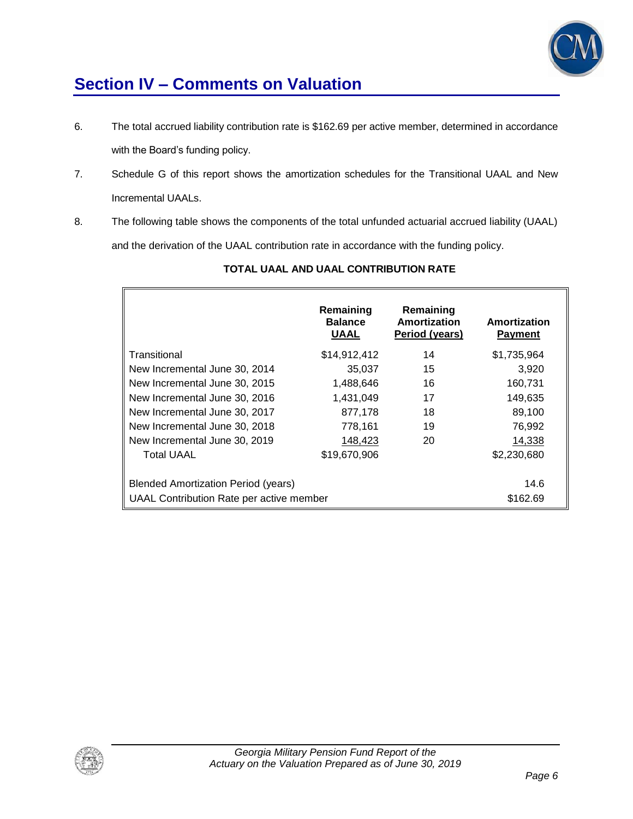

## **Section IV – Comments on Valuation**

- 6. The total accrued liability contribution rate is \$162.69 per active member, determined in accordance with the Board's funding policy.
- 7. Schedule G of this report shows the amortization schedules for the Transitional UAAL and New Incremental UAALs.
- 8. The following table shows the components of the total unfunded actuarial accrued liability (UAAL) and the derivation of the UAAL contribution rate in accordance with the funding policy.

|                                            | Remaining<br><b>Balance</b><br><b>UAAL</b> | Remaining<br>Amortization<br>Period (years) | Amortization<br><b>Payment</b> |
|--------------------------------------------|--------------------------------------------|---------------------------------------------|--------------------------------|
| Transitional                               | \$14,912,412                               | 14                                          | \$1,735,964                    |
| New Incremental June 30, 2014              | 35,037                                     | 15                                          | 3,920                          |
| New Incremental June 30, 2015              | 1,488,646                                  | 16                                          | 160,731                        |
| New Incremental June 30, 2016              | 1,431,049                                  | 17                                          | 149,635                        |
| New Incremental June 30, 2017              | 877,178                                    | 18                                          | 89,100                         |
| New Incremental June 30, 2018              | 778,161                                    | 19                                          | 76,992                         |
| New Incremental June 30, 2019              | 148,423                                    | 20                                          | 14,338                         |
| <b>Total UAAL</b>                          | \$19,670,906                               |                                             | \$2,230,680                    |
| <b>Blended Amortization Period (years)</b> |                                            |                                             | 14.6                           |
| UAAL Contribution Rate per active member   |                                            |                                             | \$162.69                       |

### **TOTAL UAAL AND UAAL CONTRIBUTION RATE**

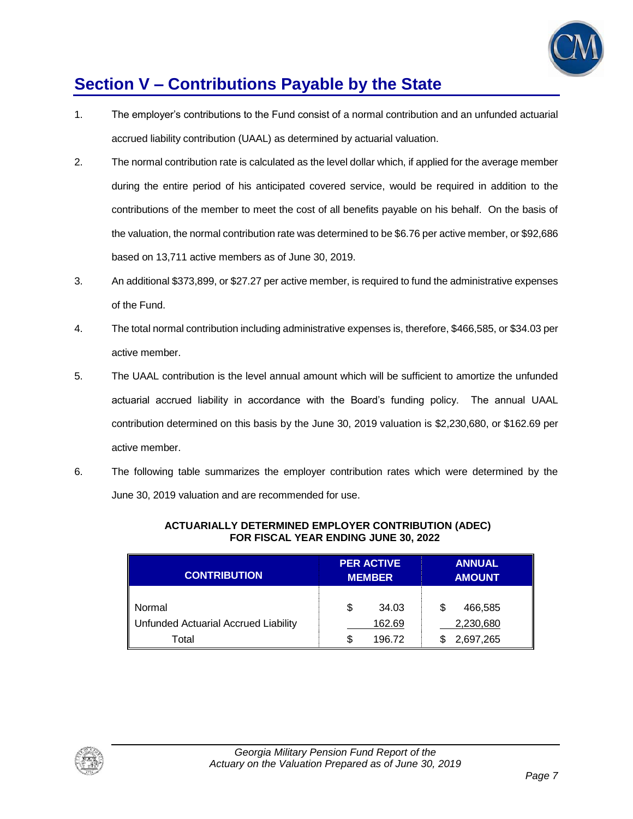

## **Section V – Contributions Payable by the State**

- 1. The employer's contributions to the Fund consist of a normal contribution and an unfunded actuarial accrued liability contribution (UAAL) as determined by actuarial valuation.
- 2. The normal contribution rate is calculated as the level dollar which, if applied for the average member during the entire period of his anticipated covered service, would be required in addition to the contributions of the member to meet the cost of all benefits payable on his behalf. On the basis of the valuation, the normal contribution rate was determined to be \$6.76 per active member, or \$92,686 based on 13,711 active members as of June 30, 2019.
- 3. An additional \$373,899, or \$27.27 per active member, is required to fund the administrative expenses of the Fund.
- 4. The total normal contribution including administrative expenses is, therefore, \$466,585, or \$34.03 per active member.
- 5. The UAAL contribution is the level annual amount which will be sufficient to amortize the unfunded actuarial accrued liability in accordance with the Board's funding policy. The annual UAAL contribution determined on this basis by the June 30, 2019 valuation is \$2,230,680, or \$162.69 per active member.
- 6. The following table summarizes the employer contribution rates which were determined by the June 30, 2019 valuation and are recommended for use.

| <b>CONTRIBUTION</b>                  | <b>PER ACTIVE</b><br><b>MEMBER</b> | <b>ANNUAL</b><br><b>AMOUNT</b> |
|--------------------------------------|------------------------------------|--------------------------------|
| Normal                               | S<br>34.03                         | 466,585<br>S                   |
| Unfunded Actuarial Accrued Liability | 162.69                             | 2,230,680                      |
| Total                                | 196.72<br>S.                       | 2,697,265                      |

#### **ACTUARIALLY DETERMINED EMPLOYER CONTRIBUTION (ADEC) FOR FISCAL YEAR ENDING JUNE 30, 2022**

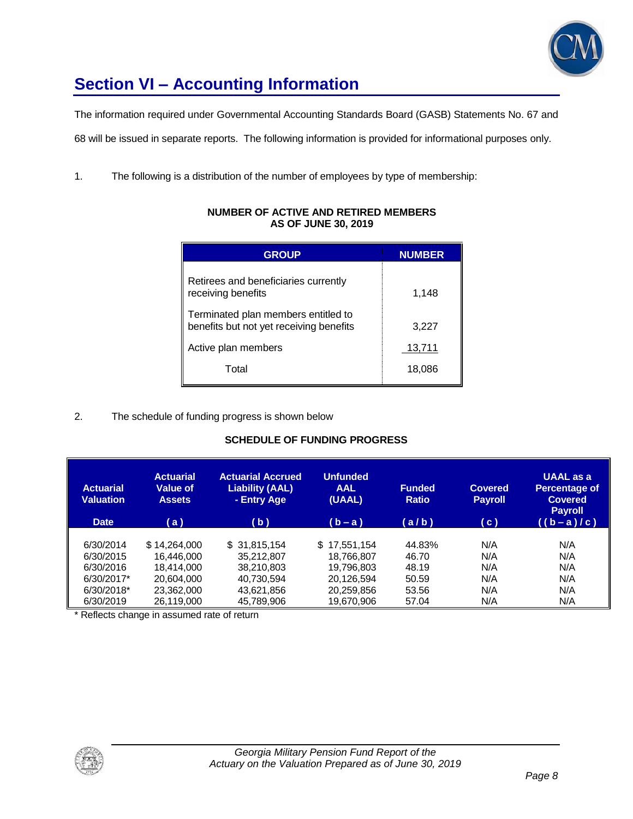

# **Section VI – Accounting Information**

The information required under Governmental Accounting Standards Board (GASB) Statements No. 67 and

68 will be issued in separate reports. The following information is provided for informational purposes only.

1. The following is a distribution of the number of employees by type of membership:

| <b>GROUP</b>                                                                   | <b>NUMBER</b> |
|--------------------------------------------------------------------------------|---------------|
| Retirees and beneficiaries currently<br>receiving benefits                     | 1,148         |
| Terminated plan members entitled to<br>benefits but not yet receiving benefits | 3,227         |
| Active plan members                                                            | 13,711        |
| Total                                                                          | 18,086        |

#### **NUMBER OF ACTIVE AND RETIRED MEMBERS AS OF JUNE 30, 2019**

### 2. The schedule of funding progress is shown below

### **SCHEDULE OF FUNDING PROGRESS**

| <b>Actuarial</b><br><b>Valuation</b><br><b>Date</b> | <b>Actuarial</b><br>Value of<br><b>Assets</b><br>(a) | <b>Actuarial Accrued</b><br><b>Liability (AAL)</b><br>- Entry Age<br>(b) | <b>Unfunded</b><br><b>AAL</b><br>(UAAL)<br>$(b - a)$ | <b>Funded</b><br><b>Ratio</b><br>(a/b) | <b>Covered</b><br><b>Payroll</b><br>(c) | <b>UAAL</b> as a<br><b>Percentage of</b><br><b>Covered</b><br><b>Payroll</b><br>$((b-a)/c)$ |
|-----------------------------------------------------|------------------------------------------------------|--------------------------------------------------------------------------|------------------------------------------------------|----------------------------------------|-----------------------------------------|---------------------------------------------------------------------------------------------|
| 6/30/2014                                           | \$14,264,000                                         | \$31,815,154                                                             | 17,551,154<br>S.                                     | 44.83%                                 | N/A                                     | N/A                                                                                         |
| 6/30/2015                                           | 16.446.000                                           | 35.212.807                                                               | 18.766.807                                           | 46.70                                  | N/A                                     | N/A                                                                                         |
| 6/30/2016                                           | 18.414.000                                           | 38.210.803                                                               | 19.796.803                                           | 48.19                                  | N/A                                     | N/A                                                                                         |
| 6/30/2017*                                          | 20,604,000                                           | 40.730.594                                                               | 20,126,594                                           | 50.59                                  | N/A                                     | N/A                                                                                         |
| 6/30/2018*                                          | 23,362,000                                           | 43,621,856                                                               | 20,259,856                                           | 53.56                                  | N/A                                     | N/A                                                                                         |
| 6/30/2019                                           | 26,119,000                                           | 45,789,906                                                               | 19,670,906                                           | 57.04                                  | N/A                                     | N/A                                                                                         |

\* Reflects change in assumed rate of return

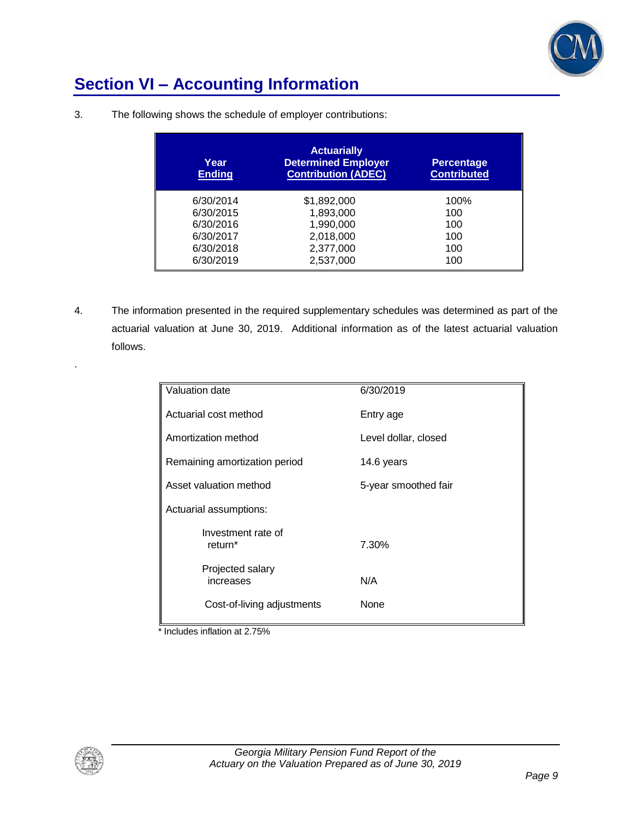

## **Section VI – Accounting Information**

| Year<br><b>Ending</b> | <b>Actuarially</b><br><b>Determined Employer</b><br><b>Contribution (ADEC)</b> | <b>Percentage</b><br><b>Contributed</b> |
|-----------------------|--------------------------------------------------------------------------------|-----------------------------------------|
| 6/30/2014             | \$1,892,000                                                                    | 100%                                    |
| 6/30/2015             | 1,893,000                                                                      | 100                                     |
| 6/30/2016             | 1,990,000                                                                      | 100                                     |
| 6/30/2017             | 2,018,000                                                                      | 100                                     |
| 6/30/2018             | 2,377,000                                                                      | 100                                     |
| 6/30/2019             | 2,537,000                                                                      | 100                                     |

3. The following shows the schedule of employer contributions:

4. The information presented in the required supplementary schedules was determined as part of the actuarial valuation at June 30, 2019. Additional information as of the latest actuarial valuation follows.

| Valuation date                            | 6/30/2019            |
|-------------------------------------------|----------------------|
| Actuarial cost method                     | Entry age            |
| Amortization method                       | Level dollar, closed |
| Remaining amortization period             | 14.6 years           |
| Asset valuation method                    | 5-year smoothed fair |
| Actuarial assumptions:                    |                      |
| Investment rate of<br>return <sup>*</sup> | 7.30%                |
| Projected salary<br>increases             | N/A                  |
| Cost-of-living adjustments                | None                 |

\* Includes inflation at 2.75%



.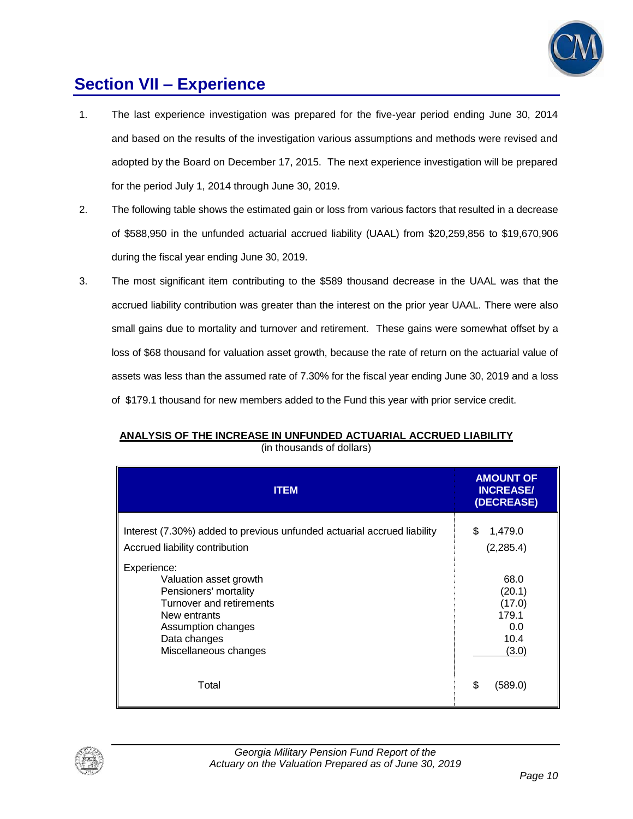

## **Section VII – Experience**

- 1. The last experience investigation was prepared for the five-year period ending June 30, 2014 and based on the results of the investigation various assumptions and methods were revised and adopted by the Board on December 17, 2015. The next experience investigation will be prepared for the period July 1, 2014 through June 30, 2019.
- 2. The following table shows the estimated gain or loss from various factors that resulted in a decrease of \$588,950 in the unfunded actuarial accrued liability (UAAL) from \$20,259,856 to \$19,670,906 during the fiscal year ending June 30, 2019.
- 3. The most significant item contributing to the \$589 thousand decrease in the UAAL was that the accrued liability contribution was greater than the interest on the prior year UAAL. There were also small gains due to mortality and turnover and retirement. These gains were somewhat offset by a loss of \$68 thousand for valuation asset growth, because the rate of return on the actuarial value of assets was less than the assumed rate of 7.30% for the fiscal year ending June 30, 2019 and a loss of \$179.1 thousand for new members added to the Fund this year with prior service credit.

| ANALYSIS OF THE INCREASE IN UNFUNDED ACTUARIAL ACCRUED LIABILITY |                           |  |
|------------------------------------------------------------------|---------------------------|--|
|                                                                  | (in thousands of dollars) |  |

| <b>ITEM</b>                                                                                                                                                               | <b>AMOUNT OF</b><br><b>INCREASE/</b><br>(DECREASE)        |
|---------------------------------------------------------------------------------------------------------------------------------------------------------------------------|-----------------------------------------------------------|
| Interest (7.30%) added to previous unfunded actuarial accrued liability<br>Accrued liability contribution                                                                 | \$<br>1,479.0<br>(2, 285.4)                               |
| Experience:<br>Valuation asset growth<br>Pensioners' mortality<br>Turnover and retirements<br>New entrants<br>Assumption changes<br>Data changes<br>Miscellaneous changes | 68.0<br>(20.1)<br>(17.0)<br>179.1<br>0.0<br>10.4<br>(3.0) |
| Total                                                                                                                                                                     | \$<br>(589.0)                                             |

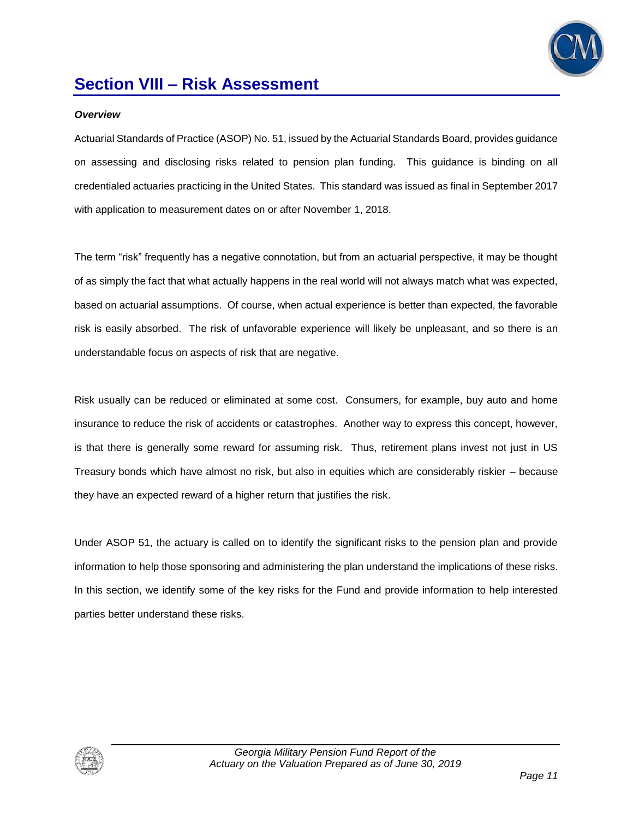

## **Section VIII – Risk Assessment**

#### *Overview*

Actuarial Standards of Practice (ASOP) No. 51, issued by the Actuarial Standards Board, provides guidance on assessing and disclosing risks related to pension plan funding. This guidance is binding on all credentialed actuaries practicing in the United States. This standard was issued as final in September 2017 with application to measurement dates on or after November 1, 2018.

The term "risk" frequently has a negative connotation, but from an actuarial perspective, it may be thought of as simply the fact that what actually happens in the real world will not always match what was expected, based on actuarial assumptions. Of course, when actual experience is better than expected, the favorable risk is easily absorbed. The risk of unfavorable experience will likely be unpleasant, and so there is an understandable focus on aspects of risk that are negative.

Risk usually can be reduced or eliminated at some cost. Consumers, for example, buy auto and home insurance to reduce the risk of accidents or catastrophes. Another way to express this concept, however, is that there is generally some reward for assuming risk. Thus, retirement plans invest not just in US Treasury bonds which have almost no risk, but also in equities which are considerably riskier – because they have an expected reward of a higher return that justifies the risk.

Under ASOP 51, the actuary is called on to identify the significant risks to the pension plan and provide information to help those sponsoring and administering the plan understand the implications of these risks. In this section, we identify some of the key risks for the Fund and provide information to help interested parties better understand these risks.

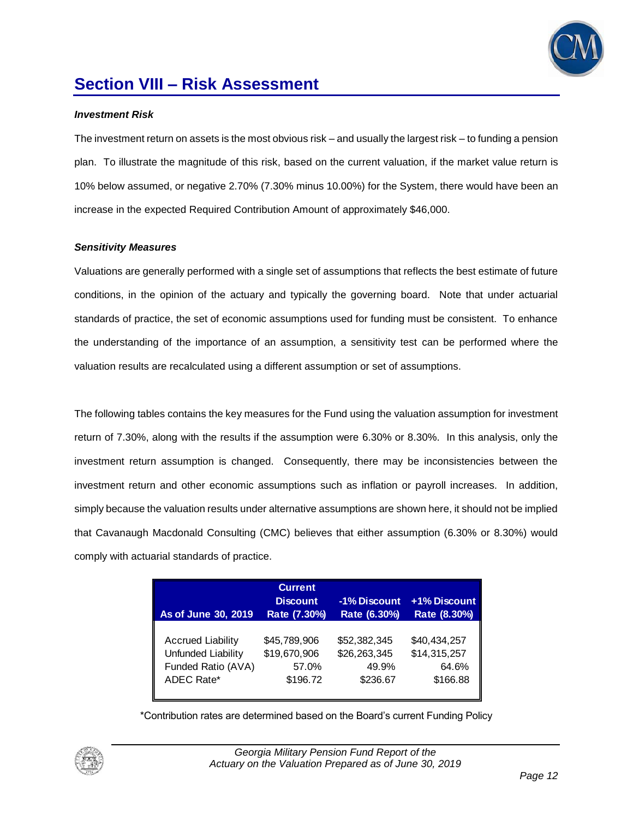

## **Section VIII – Risk Assessment**

#### *Investment Risk*

The investment return on assets is the most obvious risk – and usually the largest risk – to funding a pension plan. To illustrate the magnitude of this risk, based on the current valuation, if the market value return is 10% below assumed, or negative 2.70% (7.30% minus 10.00%) for the System, there would have been an increase in the expected Required Contribution Amount of approximately \$46,000.

#### *Sensitivity Measures*

Valuations are generally performed with a single set of assumptions that reflects the best estimate of future conditions, in the opinion of the actuary and typically the governing board. Note that under actuarial standards of practice, the set of economic assumptions used for funding must be consistent. To enhance the understanding of the importance of an assumption, a sensitivity test can be performed where the valuation results are recalculated using a different assumption or set of assumptions.

The following tables contains the key measures for the Fund using the valuation assumption for investment return of 7.30%, along with the results if the assumption were 6.30% or 8.30%. In this analysis, only the investment return assumption is changed. Consequently, there may be inconsistencies between the investment return and other economic assumptions such as inflation or payroll increases. In addition, simply because the valuation results under alternative assumptions are shown here, it should not be implied that Cavanaugh Macdonald Consulting (CMC) believes that either assumption (6.30% or 8.30%) would comply with actuarial standards of practice.

| As of June 30, 2019      | <b>Current</b><br><b>Discount</b><br>Rate (7.30%) | -1% Discount<br>Rate (6.30%) | +1% Discount<br>Rate (8.30%) |
|--------------------------|---------------------------------------------------|------------------------------|------------------------------|
| <b>Accrued Liability</b> | \$45,789,906                                      | \$52,382,345                 | \$40,434,257                 |
| Unfunded Liability       | \$19,670,906                                      | \$26,263,345                 | \$14,315,257                 |
| Funded Ratio (AVA)       | 57.0%                                             | 49.9%                        | 64.6%                        |
| ADEC Rate*               | \$196.72                                          | \$236.67                     | \$166.88                     |

\*Contribution rates are determined based on the Board's current Funding Policy

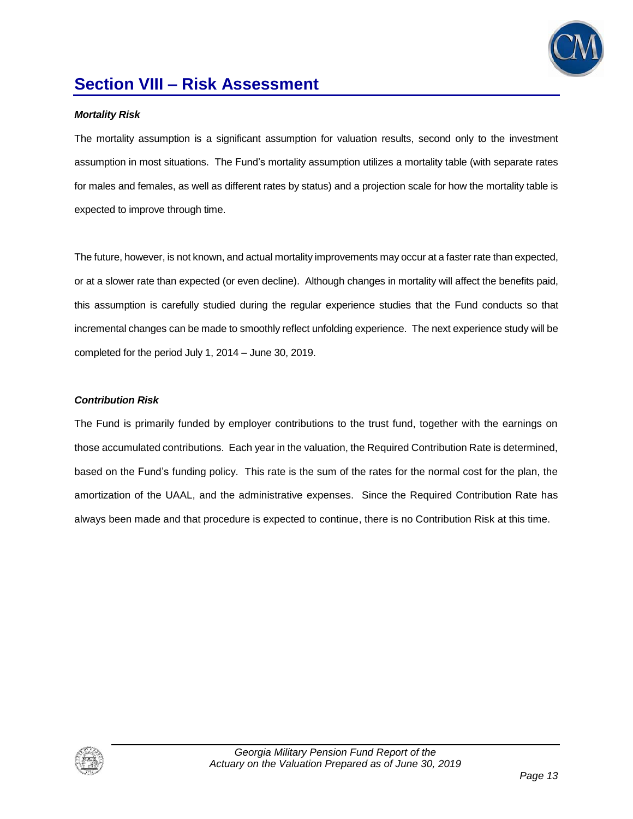

## **Section VIII – Risk Assessment**

#### *Mortality Risk*

The mortality assumption is a significant assumption for valuation results, second only to the investment assumption in most situations. The Fund's mortality assumption utilizes a mortality table (with separate rates for males and females, as well as different rates by status) and a projection scale for how the mortality table is expected to improve through time.

The future, however, is not known, and actual mortality improvements may occur at a faster rate than expected, or at a slower rate than expected (or even decline). Although changes in mortality will affect the benefits paid, this assumption is carefully studied during the regular experience studies that the Fund conducts so that incremental changes can be made to smoothly reflect unfolding experience. The next experience study will be completed for the period July 1, 2014 – June 30, 2019.

#### *Contribution Risk*

The Fund is primarily funded by employer contributions to the trust fund, together with the earnings on those accumulated contributions. Each year in the valuation, the Required Contribution Rate is determined, based on the Fund's funding policy. This rate is the sum of the rates for the normal cost for the plan, the amortization of the UAAL, and the administrative expenses. Since the Required Contribution Rate has always been made and that procedure is expected to continue, there is no Contribution Risk at this time.

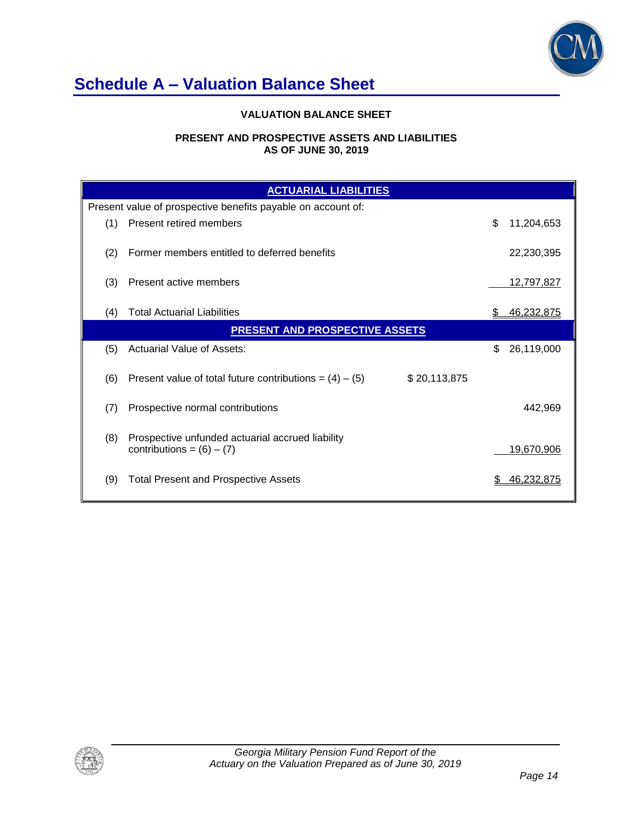

## **Schedule A – Valuation Balance Sheet**

### **VALUATION BALANCE SHEET**

#### **PRESENT AND PROSPECTIVE ASSETS AND LIABILITIES AS OF JUNE 30, 2019**

|     | <b>ACTUARIAL LIABILITIES</b>                                                    |                  |
|-----|---------------------------------------------------------------------------------|------------------|
|     | Present value of prospective benefits payable on account of:                    |                  |
| (1) | Present retired members                                                         | \$<br>11,204,653 |
| (2) | Former members entitled to deferred benefits                                    | 22,230,395       |
| (3) | Present active members                                                          | 12,797,827       |
| (4) | <b>Total Actuarial Liabilities</b>                                              | 46,232,875       |
|     | <b>PRESENT AND PROSPECTIVE ASSETS</b>                                           |                  |
| (5) | <b>Actuarial Value of Assets:</b>                                               | 26,119,000<br>\$ |
| (6) | Present value of total future contributions = $(4) - (5)$<br>\$20,113,875       |                  |
| (7) | Prospective normal contributions                                                | 442,969          |
| (8) | Prospective unfunded actuarial accrued liability<br>contributions = $(6) - (7)$ | 19,670,906       |
| (9) | <b>Total Present and Prospective Assets</b>                                     | 46.232.875       |

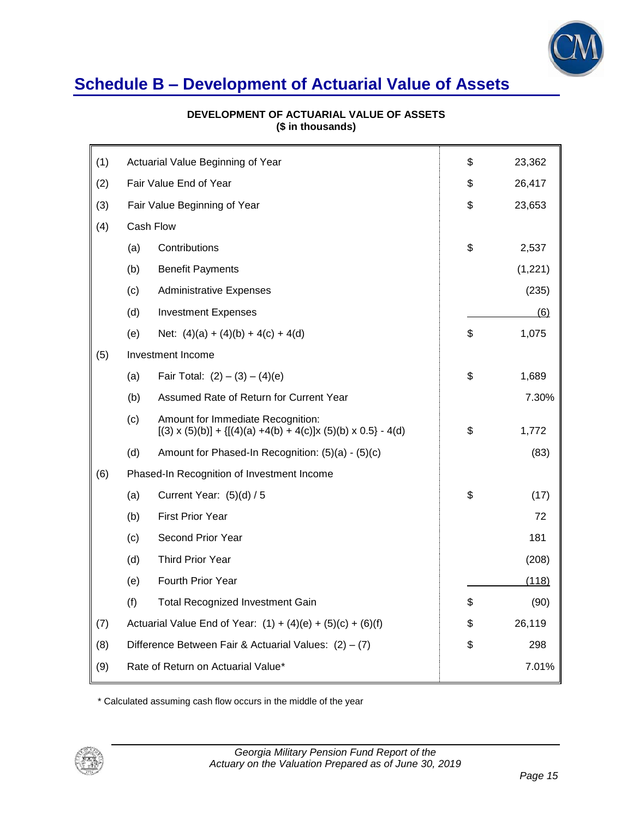

# **Schedule B – Development of Actuarial Value of Assets**

| DEVELOPMENT OF ACTUARIAL VALUE OF ASSETS |
|------------------------------------------|
| (\$ in thousands)                        |

| (1) | Actuarial Value Beginning of Year |                                                                                                               | \$<br>23,362 |
|-----|-----------------------------------|---------------------------------------------------------------------------------------------------------------|--------------|
| (2) | Fair Value End of Year            |                                                                                                               | \$<br>26,417 |
| (3) |                                   | Fair Value Beginning of Year                                                                                  | \$<br>23,653 |
| (4) | Cash Flow                         |                                                                                                               |              |
|     | (a)                               | Contributions                                                                                                 | \$<br>2,537  |
|     | (b)                               | <b>Benefit Payments</b>                                                                                       | (1,221)      |
|     | (c)                               | <b>Administrative Expenses</b>                                                                                | (235)        |
|     | (d)                               | <b>Investment Expenses</b>                                                                                    | (6)          |
|     | (e)                               | Net: $(4)(a) + (4)(b) + 4(c) + 4(d)$                                                                          | \$<br>1,075  |
| (5) |                                   | Investment Income                                                                                             |              |
|     | (a)                               | Fair Total: $(2) - (3) - (4)(e)$                                                                              | \$<br>1,689  |
|     | (b)                               | Assumed Rate of Return for Current Year                                                                       | 7.30%        |
|     | (c)                               | Amount for Immediate Recognition:<br>$[(3) \times (5)(b)] + {[(4)(a) +4(b) +4(c)]x (5)(b) \times 0.5} - 4(d)$ | \$<br>1,772  |
|     | (d)                               | Amount for Phased-In Recognition: (5)(a) - (5)(c)                                                             | (83)         |
| (6) |                                   | Phased-In Recognition of Investment Income                                                                    |              |
|     | (a)                               | Current Year: $(5)(d) / 5$                                                                                    | \$<br>(17)   |
|     | (b)                               | <b>First Prior Year</b>                                                                                       | 72           |
|     | (c)                               | Second Prior Year                                                                                             | 181          |
|     | (d)                               | <b>Third Prior Year</b>                                                                                       | (208)        |
|     | (e)                               | Fourth Prior Year                                                                                             | (118)        |
|     | (f)                               | <b>Total Recognized Investment Gain</b>                                                                       | \$<br>(90)   |
| (7) |                                   | Actuarial Value End of Year: $(1) + (4)(e) + (5)(c) + (6)(f)$                                                 | \$<br>26,119 |
| (8) |                                   | Difference Between Fair & Actuarial Values: $(2) - (7)$                                                       | \$<br>298    |
| (9) |                                   | Rate of Return on Actuarial Value*                                                                            | 7.01%        |

\* Calculated assuming cash flow occurs in the middle of the year

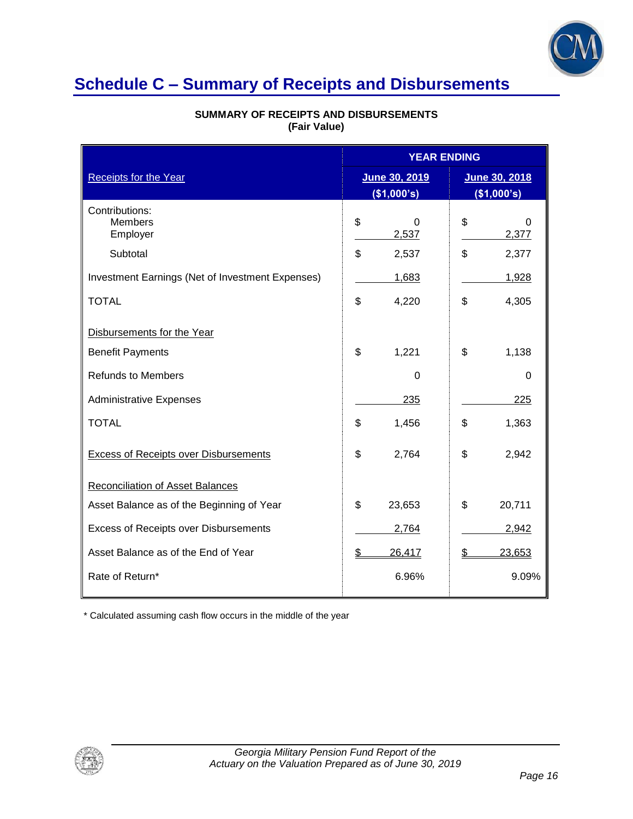

## **Schedule C – Summary of Receipts and Disbursements**

|                                                  | <b>YEAR ENDING</b>           |                              |
|--------------------------------------------------|------------------------------|------------------------------|
| <b>Receipts for the Year</b>                     | June 30, 2019<br>(\$1,000's) | June 30, 2018<br>(\$1,000's) |
| Contributions:<br><b>Members</b><br>Employer     | \$<br><sup>0</sup><br>2,537  | \$<br>0<br>2,377             |
| Subtotal                                         | \$<br>2,537                  | \$<br>2,377                  |
| Investment Earnings (Net of Investment Expenses) | 1,683                        | 1,928                        |
| <b>TOTAL</b>                                     | \$<br>4,220                  | \$<br>4,305                  |
| Disbursements for the Year                       |                              |                              |
| <b>Benefit Payments</b>                          | \$<br>1,221                  | \$<br>1,138                  |
| <b>Refunds to Members</b>                        | 0                            | 0                            |
| <b>Administrative Expenses</b>                   | 235                          | 225                          |
| <b>TOTAL</b>                                     | \$<br>1,456                  | \$<br>1,363                  |
| <b>Excess of Receipts over Disbursements</b>     | \$<br>2,764                  | \$<br>2,942                  |
| <b>Reconciliation of Asset Balances</b>          |                              |                              |
| Asset Balance as of the Beginning of Year        | \$<br>23,653                 | \$<br>20,711                 |
| Excess of Receipts over Disbursements            | 2,764                        | 2,942                        |
| Asset Balance as of the End of Year              | \$<br>26,417                 | 23,653                       |
| Rate of Return*                                  | 6.96%                        | 9.09%                        |

### **SUMMARY OF RECEIPTS AND DISBURSEMENTS (Fair Value)**

\* Calculated assuming cash flow occurs in the middle of the year

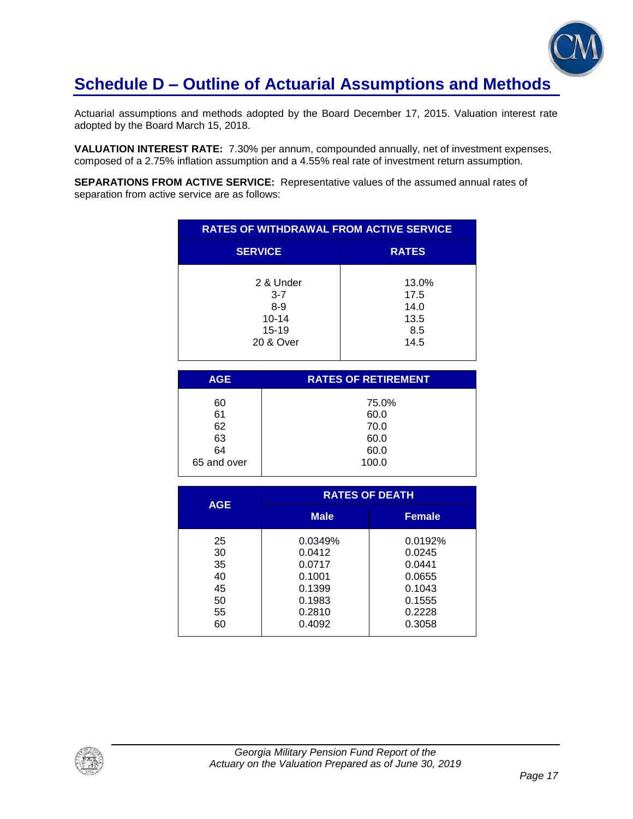

## **Schedule D – Outline of Actuarial Assumptions and Methods**

Actuarial assumptions and methods adopted by the Board December 17, 2015. Valuation interest rate adopted by the Board March 15, 2018.

**VALUATION INTEREST RATE:** 7.30% per annum, compounded annually, net of investment expenses, composed of a 2.75% inflation assumption and a 4.55% real rate of investment return assumption.

**SEPARATIONS FROM ACTIVE SERVICE:** Representative values of the assumed annual rates of separation from active service are as follows:

| <b>RATES OF WITHDRAWAL FROM ACTIVE SERVICE</b>                         |                                              |  |  |
|------------------------------------------------------------------------|----------------------------------------------|--|--|
| <b>SERVICE</b>                                                         | <b>RATES</b>                                 |  |  |
| 2 & Under<br>$3 - 7$<br>$8 - 9$<br>$10 - 14$<br>$15 - 19$<br>20 & Over | 13.0%<br>17.5<br>14.0<br>13.5<br>8.5<br>14.5 |  |  |

| <b>AGE</b>  | <b>RATES OF RETIREMENT</b> |
|-------------|----------------------------|
| 60          | 75.0%                      |
| 61          | 60.0                       |
| 62          | 70.0                       |
| 63          | 60.0                       |
| 64          | 60.0                       |
| 65 and over | 100.0                      |
|             |                            |

| <b>AGE</b> | <b>RATES OF DEATH</b> |               |  |
|------------|-----------------------|---------------|--|
|            | <b>Male</b>           | <b>Female</b> |  |
| 25         | 0.0349%               | 0.0192%       |  |
| 30         | 0.0412                | 0.0245        |  |
| 35         | 0.0717                | 0.0441        |  |
| 40         | 0.1001                | 0.0655        |  |
| 45         | 0.1399                | 0.1043        |  |
| 50         | 0.1983                | 0.1555        |  |
| 55         | 0.2810                | 0.2228        |  |
| 60         | 0.4092                | 0.3058        |  |

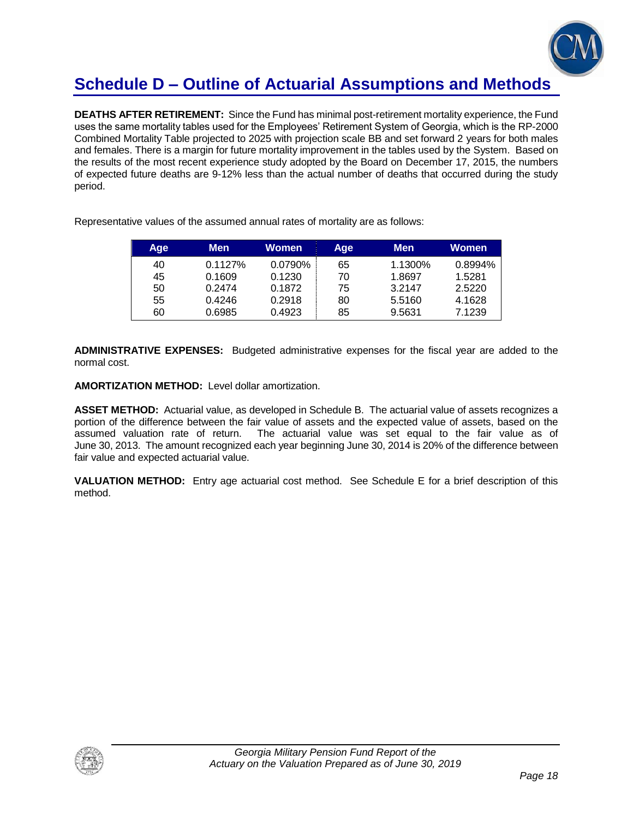

## **Schedule D – Outline of Actuarial Assumptions and Methods**

**DEATHS AFTER RETIREMENT:** Since the Fund has minimal post-retirement mortality experience, the Fund uses the same mortality tables used for the Employees' Retirement System of Georgia, which is the RP-2000 Combined Mortality Table projected to 2025 with projection scale BB and set forward 2 years for both males and females. There is a margin for future mortality improvement in the tables used by the System. Based on the results of the most recent experience study adopted by the Board on December 17, 2015, the numbers of expected future deaths are 9-12% less than the actual number of deaths that occurred during the study period.

| Age | Men     | Women   | Age | <b>Men</b> | Women   |
|-----|---------|---------|-----|------------|---------|
| 40  | 0.1127% | 0.0790% | 65  | 1.1300%    | 0.8994% |
| 45  | 0.1609  | 0.1230  | 70  | 1.8697     | 1.5281  |
| 50  | 0.2474  | 0.1872  | 75  | 3.2147     | 2.5220  |
| 55  | 0.4246  | 0.2918  | 80  | 5.5160     | 4.1628  |
| 60  | 0.6985  | 0.4923  | 85  | 9.5631     | 7.1239  |

Representative values of the assumed annual rates of mortality are as follows:

**ADMINISTRATIVE EXPENSES:** Budgeted administrative expenses for the fiscal year are added to the normal cost.

**AMORTIZATION METHOD:** Level dollar amortization.

**ASSET METHOD:** Actuarial value, as developed in Schedule B. The actuarial value of assets recognizes a portion of the difference between the fair value of assets and the expected value of assets, based on the assumed valuation rate of return. The actuarial value was set equal to the fair value as of June 30, 2013. The amount recognized each year beginning June 30, 2014 is 20% of the difference between fair value and expected actuarial value.

**VALUATION METHOD:** Entry age actuarial cost method. See Schedule E for a brief description of this method.

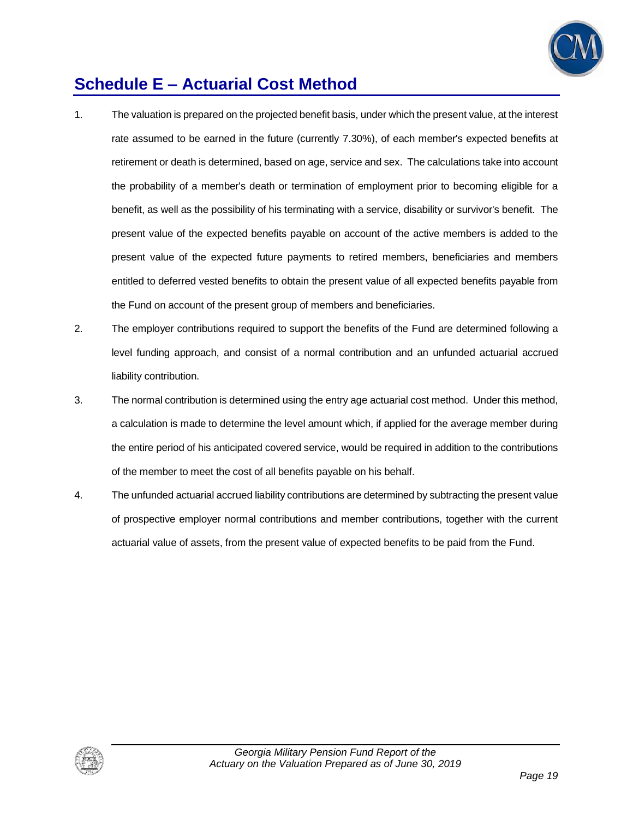

## **Schedule E – Actuarial Cost Method**

- 1. The valuation is prepared on the projected benefit basis, under which the present value, at the interest rate assumed to be earned in the future (currently 7.30%), of each member's expected benefits at retirement or death is determined, based on age, service and sex. The calculations take into account the probability of a member's death or termination of employment prior to becoming eligible for a benefit, as well as the possibility of his terminating with a service, disability or survivor's benefit. The present value of the expected benefits payable on account of the active members is added to the present value of the expected future payments to retired members, beneficiaries and members entitled to deferred vested benefits to obtain the present value of all expected benefits payable from the Fund on account of the present group of members and beneficiaries.
- 2. The employer contributions required to support the benefits of the Fund are determined following a level funding approach, and consist of a normal contribution and an unfunded actuarial accrued liability contribution.
- 3. The normal contribution is determined using the entry age actuarial cost method. Under this method, a calculation is made to determine the level amount which, if applied for the average member during the entire period of his anticipated covered service, would be required in addition to the contributions of the member to meet the cost of all benefits payable on his behalf.
- 4. The unfunded actuarial accrued liability contributions are determined by subtracting the present value of prospective employer normal contributions and member contributions, together with the current actuarial value of assets, from the present value of expected benefits to be paid from the Fund.

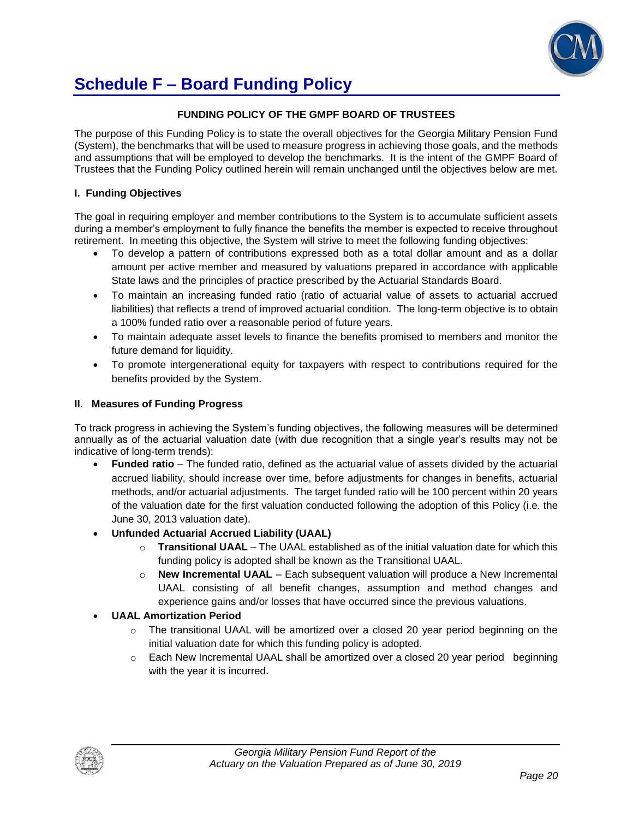

## **Schedule F – Board Funding Policy**

### **FUNDING POLICY OF THE GMPF BOARD OF TRUSTEES**

The purpose of this Funding Policy is to state the overall objectives for the Georgia Military Pension Fund (System), the benchmarks that will be used to measure progress in achieving those goals, and the methods and assumptions that will be employed to develop the benchmarks. It is the intent of the GMPF Board of Trustees that the Funding Policy outlined herein will remain unchanged until the objectives below are met.

#### **I. Funding Objectives**

The goal in requiring employer and member contributions to the System is to accumulate sufficient assets during a member's employment to fully finance the benefits the member is expected to receive throughout retirement. In meeting this objective, the System will strive to meet the following funding objectives:

- To develop a pattern of contributions expressed both as a total dollar amount and as a dollar amount per active member and measured by valuations prepared in accordance with applicable State laws and the principles of practice prescribed by the Actuarial Standards Board.
- To maintain an increasing funded ratio (ratio of actuarial value of assets to actuarial accrued liabilities) that reflects a trend of improved actuarial condition. The long-term objective is to obtain a 100% funded ratio over a reasonable period of future years.
- To maintain adequate asset levels to finance the benefits promised to members and monitor the future demand for liquidity.
- To promote intergenerational equity for taxpayers with respect to contributions required for the benefits provided by the System.

#### **II. Measures of Funding Progress**

To track progress in achieving the System's funding objectives, the following measures will be determined annually as of the actuarial valuation date (with due recognition that a single year's results may not be indicative of long-term trends):

- **Funded ratio** The funded ratio, defined as the actuarial value of assets divided by the actuarial accrued liability, should increase over time, before adjustments for changes in benefits, actuarial methods, and/or actuarial adjustments. The target funded ratio will be 100 percent within 20 years of the valuation date for the first valuation conducted following the adoption of this Policy (i.e. the June 30, 2013 valuation date).
- **Unfunded Actuarial Accrued Liability (UAAL)**
	- o **Transitional UAAL** The UAAL established as of the initial valuation date for which this funding policy is adopted shall be known as the Transitional UAAL.
	- o **New Incremental UAAL** Each subsequent valuation will produce a New Incremental UAAL consisting of all benefit changes, assumption and method changes and experience gains and/or losses that have occurred since the previous valuations.

### **UAAL Amortization Period**

- $\circ$  The transitional UAAL will be amortized over a closed 20 year period beginning on the initial valuation date for which this funding policy is adopted.
- $\circ$  Each New Incremental UAAL shall be amortized over a closed 20 year period beginning with the year it is incurred.

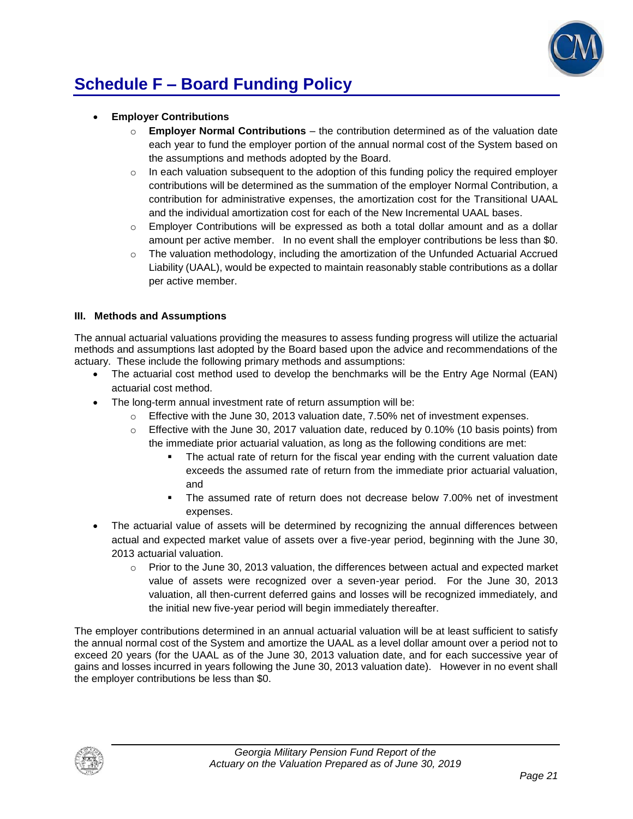

# **Schedule F – Board Funding Policy**

- **Employer Contributions**
	- o **Employer Normal Contributions**  the contribution determined as of the valuation date each year to fund the employer portion of the annual normal cost of the System based on the assumptions and methods adopted by the Board.
	- $\circ$  In each valuation subsequent to the adoption of this funding policy the required employer contributions will be determined as the summation of the employer Normal Contribution, a contribution for administrative expenses, the amortization cost for the Transitional UAAL and the individual amortization cost for each of the New Incremental UAAL bases.
	- $\circ$  Employer Contributions will be expressed as both a total dollar amount and as a dollar amount per active member. In no event shall the employer contributions be less than \$0.
	- $\circ$  The valuation methodology, including the amortization of the Unfunded Actuarial Accrued Liability (UAAL), would be expected to maintain reasonably stable contributions as a dollar per active member.

#### **III. Methods and Assumptions**

The annual actuarial valuations providing the measures to assess funding progress will utilize the actuarial methods and assumptions last adopted by the Board based upon the advice and recommendations of the actuary. These include the following primary methods and assumptions:

- The actuarial cost method used to develop the benchmarks will be the Entry Age Normal (EAN) actuarial cost method.
- The long-term annual investment rate of return assumption will be:
	- $\circ$  Effective with the June 30, 2013 valuation date, 7.50% net of investment expenses.
	- $\circ$  Effective with the June 30, 2017 valuation date, reduced by 0.10% (10 basis points) from the immediate prior actuarial valuation, as long as the following conditions are met:
		- The actual rate of return for the fiscal year ending with the current valuation date exceeds the assumed rate of return from the immediate prior actuarial valuation, and
		- The assumed rate of return does not decrease below 7.00% net of investment expenses.
- The actuarial value of assets will be determined by recognizing the annual differences between actual and expected market value of assets over a five-year period, beginning with the June 30, 2013 actuarial valuation.
	- $\circ$  Prior to the June 30, 2013 valuation, the differences between actual and expected market value of assets were recognized over a seven-year period. For the June 30, 2013 valuation, all then-current deferred gains and losses will be recognized immediately, and the initial new five-year period will begin immediately thereafter.

The employer contributions determined in an annual actuarial valuation will be at least sufficient to satisfy the annual normal cost of the System and amortize the UAAL as a level dollar amount over a period not to exceed 20 years (for the UAAL as of the June 30, 2013 valuation date, and for each successive year of gains and losses incurred in years following the June 30, 2013 valuation date). However in no event shall the employer contributions be less than \$0.

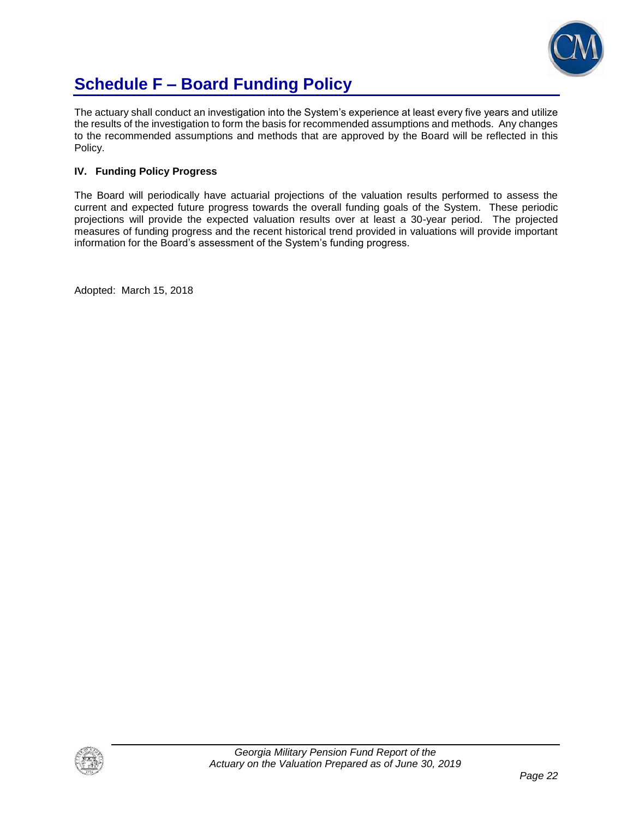

# **Schedule F – Board Funding Policy**

The actuary shall conduct an investigation into the System's experience at least every five years and utilize the results of the investigation to form the basis for recommended assumptions and methods. Any changes to the recommended assumptions and methods that are approved by the Board will be reflected in this Policy.

### **IV. Funding Policy Progress**

The Board will periodically have actuarial projections of the valuation results performed to assess the current and expected future progress towards the overall funding goals of the System. These periodic projections will provide the expected valuation results over at least a 30-year period. The projected measures of funding progress and the recent historical trend provided in valuations will provide important information for the Board's assessment of the System's funding progress.

Adopted: March 15, 2018

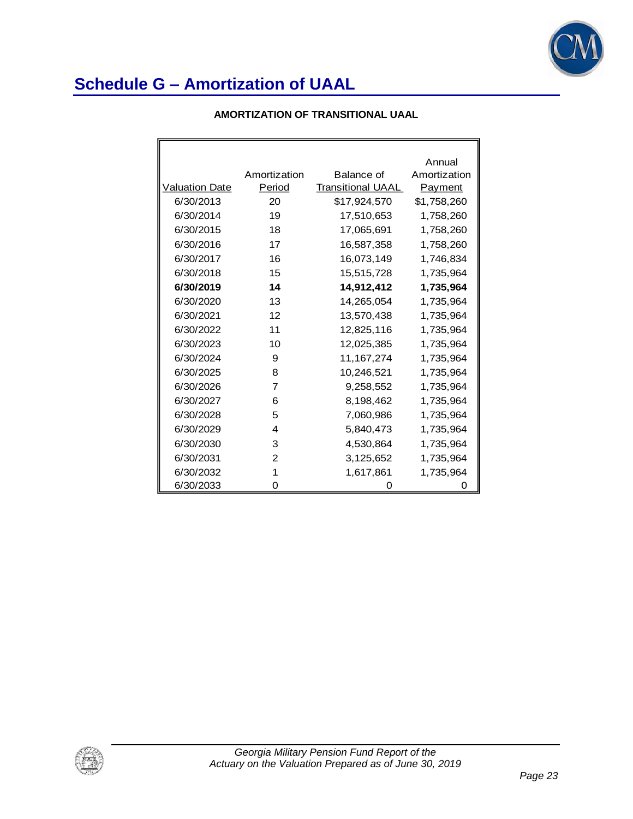

### **AMORTIZATION OF TRANSITIONAL UAAL**

|                       |              |                   | Annual       |
|-----------------------|--------------|-------------------|--------------|
|                       | Amortization | <b>Balance of</b> | Amortization |
| <b>Valuation Date</b> | Period       | Transitional UAAL | Payment      |
| 6/30/2013             | 20           | \$17,924,570      | \$1,758,260  |
| 6/30/2014             | 19           | 17,510,653        | 1,758,260    |
| 6/30/2015             | 18           | 17,065,691        | 1,758,260    |
| 6/30/2016             | 17           | 16,587,358        | 1,758,260    |
| 6/30/2017             | 16           | 16,073,149        | 1,746,834    |
| 6/30/2018             | 15           | 15,515,728        | 1,735,964    |
| 6/30/2019             | 14           | 14,912,412        | 1,735,964    |
| 6/30/2020             | 13           | 14,265,054        | 1,735,964    |
| 6/30/2021             | 12           | 13,570,438        | 1,735,964    |
| 6/30/2022             | 11           | 12,825,116        | 1,735,964    |
| 6/30/2023             | 10           | 12,025,385        | 1,735,964    |
| 6/30/2024             | 9            | 11, 167, 274      | 1,735,964    |
| 6/30/2025             | 8            | 10,246,521        | 1,735,964    |
| 6/30/2026             | 7            | 9,258,552         | 1,735,964    |
| 6/30/2027             | 6            | 8,198,462         | 1,735,964    |
| 6/30/2028             | 5            | 7,060,986         | 1,735,964    |
| 6/30/2029             | 4            | 5,840,473         | 1,735,964    |
| 6/30/2030             | 3            | 4,530,864         | 1,735,964    |
| 6/30/2031             | 2            | 3,125,652         | 1,735,964    |
| 6/30/2032             | 1            | 1,617,861         | 1,735,964    |
| 6/30/2033             | 0            | 0                 |              |

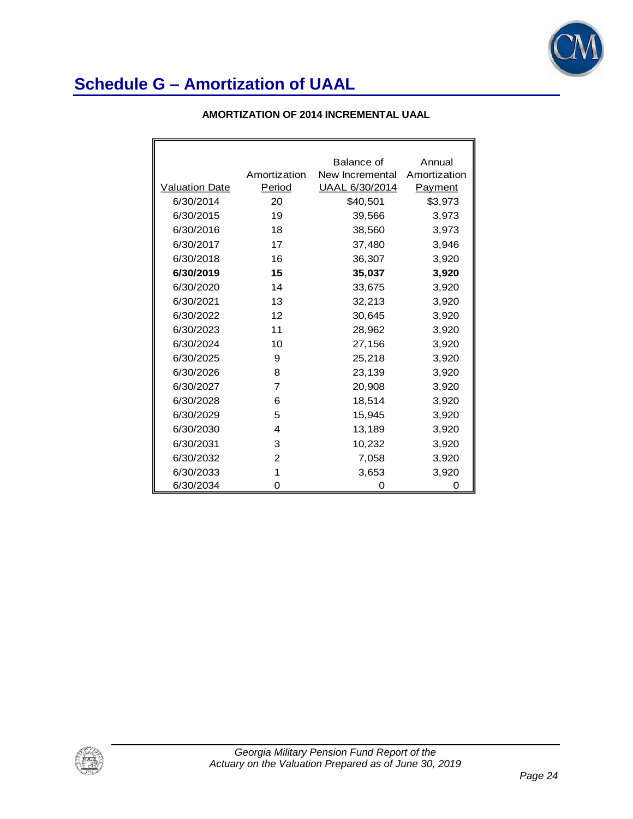

|  | AMORTIZATION OF 2014 INCREMENTAL UAAL |  |
|--|---------------------------------------|--|
|--|---------------------------------------|--|

|                       |              | Balance of            | Annual       |
|-----------------------|--------------|-----------------------|--------------|
|                       | Amortization | New Incremental       | Amortization |
| <b>Valuation Date</b> | Period       | <u>UAAL 6/30/2014</u> | Payment      |
| 6/30/2014             | 20           | \$40,501              | \$3,973      |
| 6/30/2015             | 19           | 39,566                | 3,973        |
| 6/30/2016             | 18           | 38,560                | 3,973        |
| 6/30/2017             | 17           | 37,480                | 3,946        |
| 6/30/2018             | 16           | 36,307                | 3,920        |
| 6/30/2019             | 15           | 35,037                | 3,920        |
| 6/30/2020             | 14           | 33,675                | 3,920        |
| 6/30/2021             | 13           | 32,213                | 3,920        |
| 6/30/2022             | 12           | 30,645                | 3,920        |
| 6/30/2023             | 11           | 28,962                | 3,920        |
| 6/30/2024             | 10           | 27,156                | 3,920        |
| 6/30/2025             | 9            | 25,218                | 3,920        |
| 6/30/2026             | 8            | 23,139                | 3,920        |
| 6/30/2027             | 7            | 20,908                | 3,920        |
| 6/30/2028             | 6            | 18,514                | 3,920        |
| 6/30/2029             | 5            | 15,945                | 3,920        |
| 6/30/2030             | 4            | 13,189                | 3,920        |
| 6/30/2031             | 3            | 10,232                | 3,920        |
| 6/30/2032             | 2            | 7,058                 | 3,920        |
| 6/30/2033             | 1            | 3,653                 | 3,920        |
| 6/30/2034             | 0            | 0                     | Ω            |

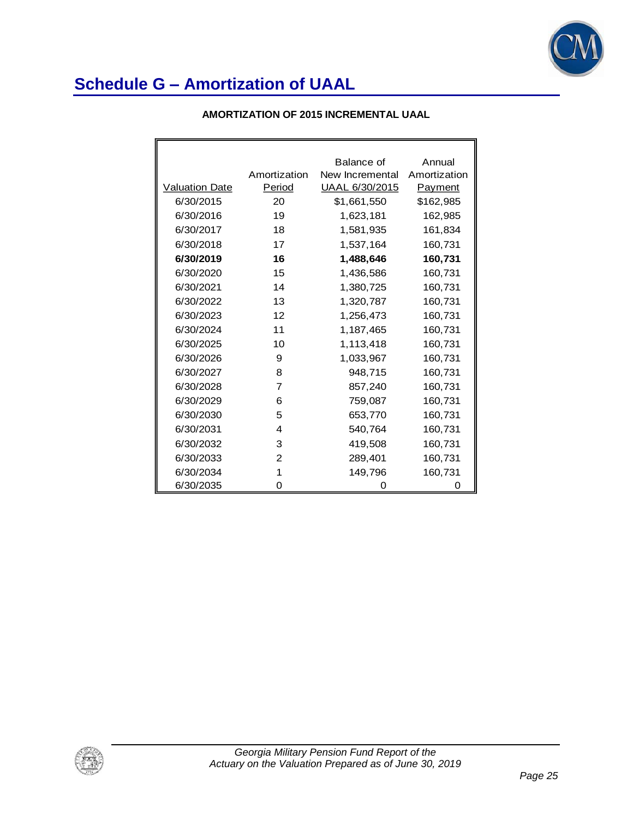

|  | <b>AMORTIZATION OF 2015 INCREMENTAL UAAL</b> |  |
|--|----------------------------------------------|--|
|--|----------------------------------------------|--|

|                |                | Balance of      | Annual       |
|----------------|----------------|-----------------|--------------|
|                | Amortization   | New Incremental | Amortization |
| Valuation Date | Period         | UAAL 6/30/2015  | Payment      |
| 6/30/2015      | 20             | \$1,661,550     | \$162,985    |
| 6/30/2016      | 19             | 1,623,181       | 162,985      |
| 6/30/2017      | 18             | 1,581,935       | 161,834      |
| 6/30/2018      | 17             | 1,537,164       | 160,731      |
| 6/30/2019      | 16             | 1,488,646       | 160,731      |
| 6/30/2020      | 15             | 1,436,586       | 160,731      |
| 6/30/2021      | 14             | 1,380,725       | 160,731      |
| 6/30/2022      | 13             | 1,320,787       | 160,731      |
| 6/30/2023      | 12             | 1,256,473       | 160,731      |
| 6/30/2024      | 11             | 1,187,465       | 160,731      |
| 6/30/2025      | 10             | 1,113,418       | 160,731      |
| 6/30/2026      | 9              | 1,033,967       | 160,731      |
| 6/30/2027      | 8              | 948,715         | 160,731      |
| 6/30/2028      | $\overline{7}$ | 857,240         | 160,731      |
| 6/30/2029      | 6              | 759,087         | 160,731      |
| 6/30/2030      | 5              | 653,770         | 160,731      |
| 6/30/2031      | 4              | 540,764         | 160,731      |
| 6/30/2032      | 3              | 419,508         | 160,731      |
| 6/30/2033      | 2              | 289,401         | 160,731      |
| 6/30/2034      | 1              | 149,796         | 160,731      |
| 6/30/2035      | 0              | Ω               | 0            |

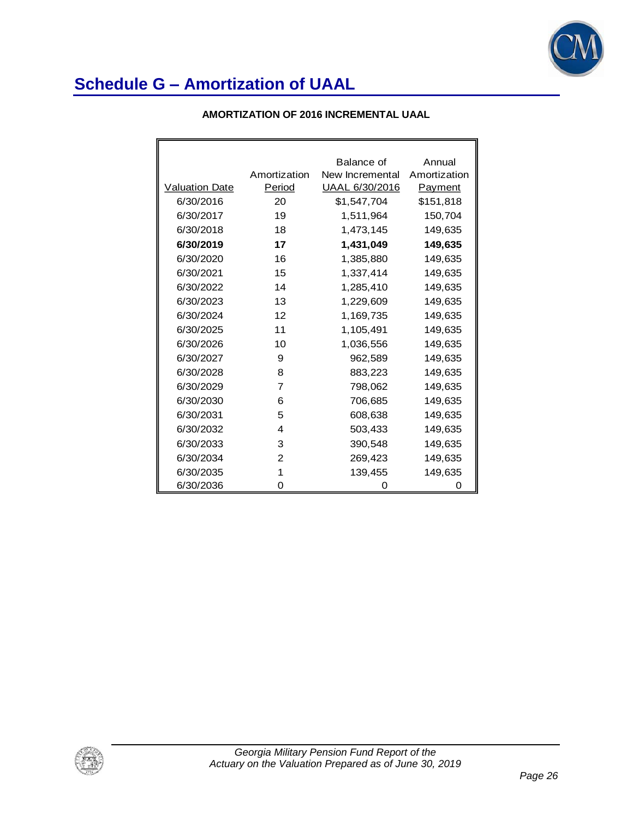

|  | <b>AMORTIZATION OF 2016 INCREMENTAL UAAL</b> |
|--|----------------------------------------------|
|--|----------------------------------------------|

|                       |                | Balance of      | Annual       |
|-----------------------|----------------|-----------------|--------------|
|                       | Amortization   | New Incremental | Amortization |
| <b>Valuation Date</b> | Period         | UAAL 6/30/2016  | Payment      |
| 6/30/2016             | 20             | \$1,547,704     | \$151,818    |
| 6/30/2017             | 19             | 1,511,964       | 150,704      |
| 6/30/2018             | 18             | 1,473,145       | 149,635      |
| 6/30/2019             | 17             | 1,431,049       | 149,635      |
| 6/30/2020             | 16             | 1,385,880       | 149,635      |
| 6/30/2021             | 15             | 1,337,414       | 149,635      |
| 6/30/2022             | 14             | 1,285,410       | 149,635      |
| 6/30/2023             | 13             | 1,229,609       | 149,635      |
| 6/30/2024             | 12             | 1,169,735       | 149,635      |
| 6/30/2025             | 11             | 1,105,491       | 149,635      |
| 6/30/2026             | 10             | 1,036,556       | 149,635      |
| 6/30/2027             | 9              | 962,589         | 149,635      |
| 6/30/2028             | 8              | 883,223         | 149,635      |
| 6/30/2029             | $\overline{7}$ | 798,062         | 149,635      |
| 6/30/2030             | 6              | 706,685         | 149,635      |
| 6/30/2031             | 5              | 608,638         | 149,635      |
| 6/30/2032             | 4              | 503,433         | 149,635      |
| 6/30/2033             | 3              | 390,548         | 149,635      |
| 6/30/2034             | 2              | 269,423         | 149,635      |
| 6/30/2035             | 1              | 139,455         | 149,635      |
| 6/30/2036             | 0              | Ω               | O            |

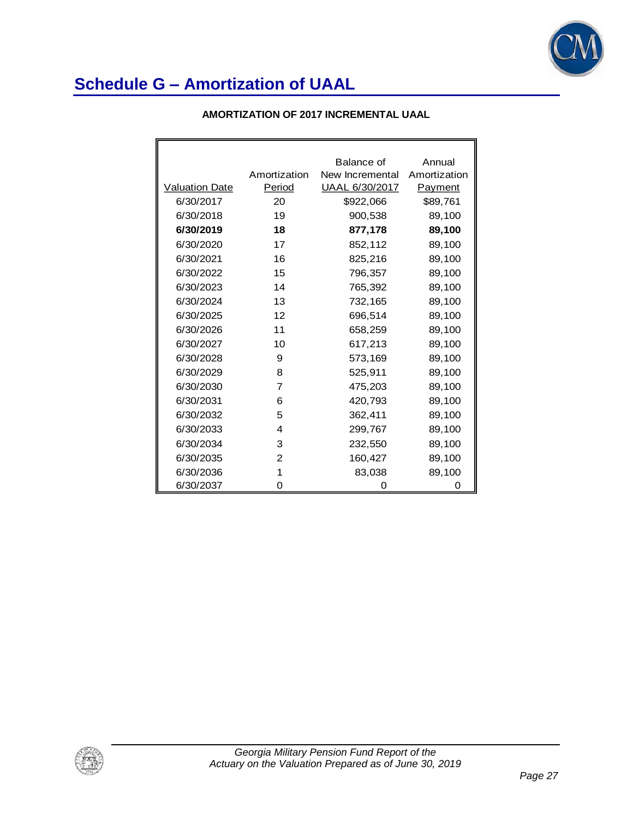

|  | <b>AMORTIZATION OF 2017 INCREMENTAL UAAL</b> |
|--|----------------------------------------------|
|--|----------------------------------------------|

|                       |              | Balance of      | Annual       |
|-----------------------|--------------|-----------------|--------------|
|                       | Amortization | New Incremental | Amortization |
| <b>Valuation Date</b> | Period       | UAAL 6/30/2017  | Payment      |
| 6/30/2017             | 20           | \$922,066       | \$89,761     |
| 6/30/2018             | 19           | 900,538         | 89,100       |
| 6/30/2019             | 18           | 877,178         | 89,100       |
| 6/30/2020             | 17           | 852,112         | 89,100       |
| 6/30/2021             | 16           | 825,216         | 89,100       |
| 6/30/2022             | 15           | 796,357         | 89,100       |
| 6/30/2023             | 14           | 765,392         | 89,100       |
| 6/30/2024             | 13           | 732,165         | 89,100       |
| 6/30/2025             | 12           | 696,514         | 89,100       |
| 6/30/2026             | 11           | 658,259         | 89,100       |
| 6/30/2027             | 10           | 617,213         | 89,100       |
| 6/30/2028             | 9            | 573,169         | 89,100       |
| 6/30/2029             | 8            | 525,911         | 89,100       |
| 6/30/2030             | 7            | 475,203         | 89,100       |
| 6/30/2031             | 6            | 420,793         | 89,100       |
| 6/30/2032             | 5            | 362,411         | 89,100       |
| 6/30/2033             | 4            | 299,767         | 89,100       |
| 6/30/2034             | 3            | 232,550         | 89,100       |
| 6/30/2035             | 2            | 160,427         | 89,100       |
| 6/30/2036             | 1            | 83,038          | 89,100       |
| 6/30/2037             | 0            | 0               | 0            |

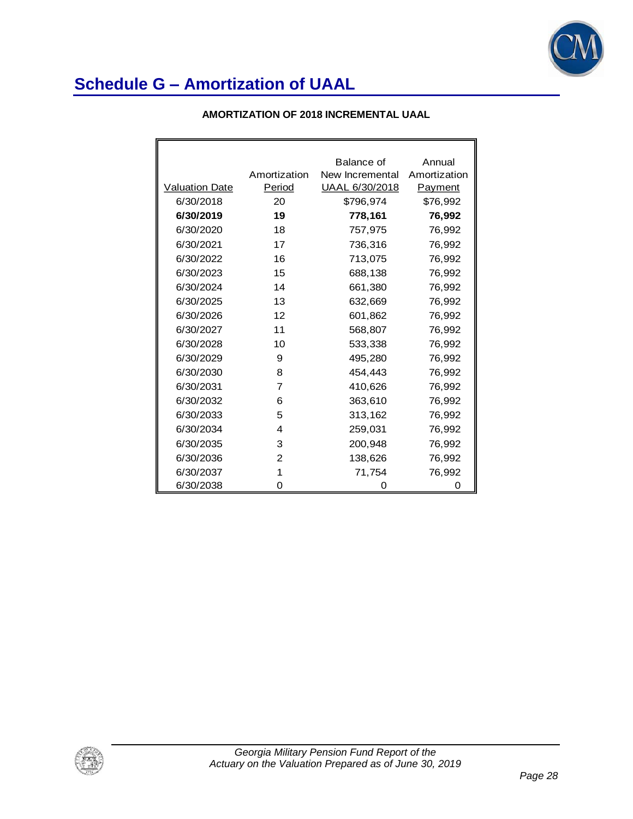

|                       |                | Balance of      | Annual       |
|-----------------------|----------------|-----------------|--------------|
|                       | Amortization   | New Incremental | Amortization |
| <b>Valuation Date</b> | Period         | UAAL 6/30/2018  | Payment      |
| 6/30/2018             | 20             | \$796,974       | \$76,992     |
| 6/30/2019             | 19             | 778,161         | 76,992       |
| 6/30/2020             | 18             | 757,975         | 76,992       |
| 6/30/2021             | 17             | 736,316         | 76,992       |
| 6/30/2022             | 16             | 713.075         | 76,992       |
| 6/30/2023             | 15             | 688,138         | 76,992       |
| 6/30/2024             | 14             | 661,380         | 76,992       |
| 6/30/2025             | 13             | 632,669         | 76,992       |
| 6/30/2026             | 12             | 601,862         | 76,992       |
| 6/30/2027             | 11             | 568,807         | 76,992       |
| 6/30/2028             | 10             | 533,338         | 76,992       |
| 6/30/2029             | 9              | 495,280         | 76,992       |
| 6/30/2030             | 8              | 454,443         | 76,992       |
| 6/30/2031             | $\overline{7}$ | 410,626         | 76,992       |
| 6/30/2032             | 6              | 363,610         | 76,992       |
| 6/30/2033             | 5              | 313,162         | 76,992       |
| 6/30/2034             | 4              | 259,031         | 76,992       |
| 6/30/2035             | 3              | 200,948         | 76,992       |
| 6/30/2036             | 2              | 138,626         | 76,992       |
| 6/30/2037             | 1              | 71,754          | 76,992       |
| 6/30/2038             | 0              | O               | 0            |

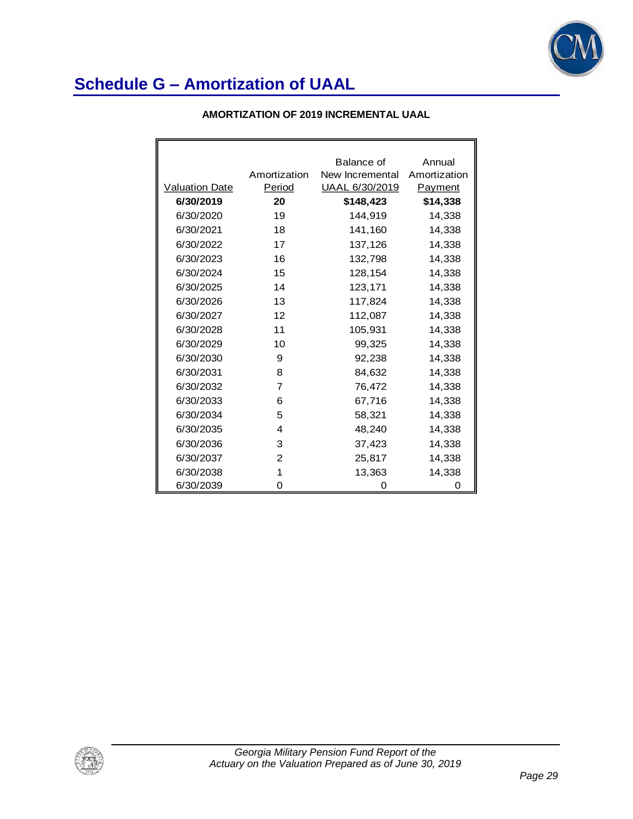

#### **AMORTIZATION OF 2019 INCREMENTAL UAAL**

|                       |                | Balance of      | Annual         |
|-----------------------|----------------|-----------------|----------------|
|                       | Amortization   | New Incremental | Amortization   |
| <b>Valuation Date</b> | Period         | UAAL 6/30/2019  | <b>Payment</b> |
| 6/30/2019             | 20             | \$148,423       | \$14,338       |
| 6/30/2020             | 19             | 144,919         | 14,338         |
| 6/30/2021             | 18             | 141,160         | 14,338         |
| 6/30/2022             | 17             | 137,126         | 14,338         |
| 6/30/2023             | 16             | 132,798         | 14,338         |
| 6/30/2024             | 15             | 128,154         | 14,338         |
| 6/30/2025             | 14             | 123,171         | 14,338         |
| 6/30/2026             | 13             | 117,824         | 14,338         |
| 6/30/2027             | 12             | 112,087         | 14,338         |
| 6/30/2028             | 11             | 105,931         | 14,338         |
| 6/30/2029             | 10             | 99,325          | 14,338         |
| 6/30/2030             | 9              | 92,238          | 14,338         |
| 6/30/2031             | 8              | 84,632          | 14,338         |
| 6/30/2032             | $\overline{7}$ | 76,472          | 14,338         |
| 6/30/2033             | 6              | 67,716          | 14,338         |
| 6/30/2034             | 5              | 58,321          | 14,338         |
| 6/30/2035             | 4              | 48,240          | 14,338         |
| 6/30/2036             | 3              | 37,423          | 14,338         |
| 6/30/2037             | 2              | 25,817          | 14,338         |
| 6/30/2038             | 1              | 13,363          | 14,338         |
| 6/30/2039             | 0              | 0               | 0              |

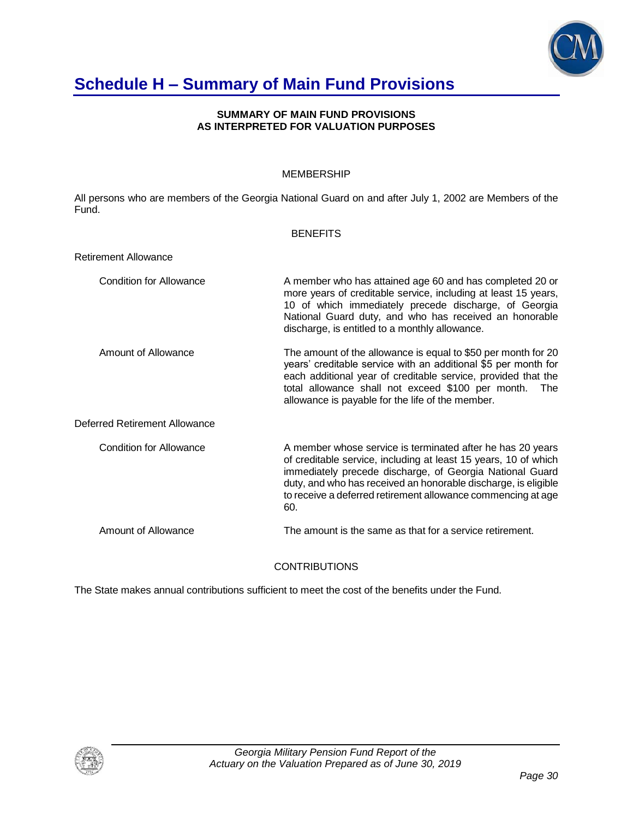

## **Schedule H – Summary of Main Fund Provisions**

#### **SUMMARY OF MAIN FUND PROVISIONS AS INTERPRETED FOR VALUATION PURPOSES**

### MEMBERSHIP

All persons who are members of the Georgia National Guard on and after July 1, 2002 are Members of the Fund.

#### **BENEFITS**

| <b>Retirement Allowance</b>    |                                                                                                                                                                                                                                                                                                                                    |
|--------------------------------|------------------------------------------------------------------------------------------------------------------------------------------------------------------------------------------------------------------------------------------------------------------------------------------------------------------------------------|
| <b>Condition for Allowance</b> | A member who has attained age 60 and has completed 20 or<br>more years of creditable service, including at least 15 years,<br>10 of which immediately precede discharge, of Georgia<br>National Guard duty, and who has received an honorable<br>discharge, is entitled to a monthly allowance.                                    |
| Amount of Allowance            | The amount of the allowance is equal to \$50 per month for 20<br>years' creditable service with an additional \$5 per month for<br>each additional year of creditable service, provided that the<br>total allowance shall not exceed \$100 per month.<br>The<br>allowance is payable for the life of the member.                   |
| Deferred Retirement Allowance  |                                                                                                                                                                                                                                                                                                                                    |
| Condition for Allowance        | A member whose service is terminated after he has 20 years<br>of creditable service, including at least 15 years, 10 of which<br>immediately precede discharge, of Georgia National Guard<br>duty, and who has received an honorable discharge, is eligible<br>to receive a deferred retirement allowance commencing at age<br>60. |
| Amount of Allowance            | The amount is the same as that for a service retirement.                                                                                                                                                                                                                                                                           |

### **CONTRIBUTIONS**

The State makes annual contributions sufficient to meet the cost of the benefits under the Fund.

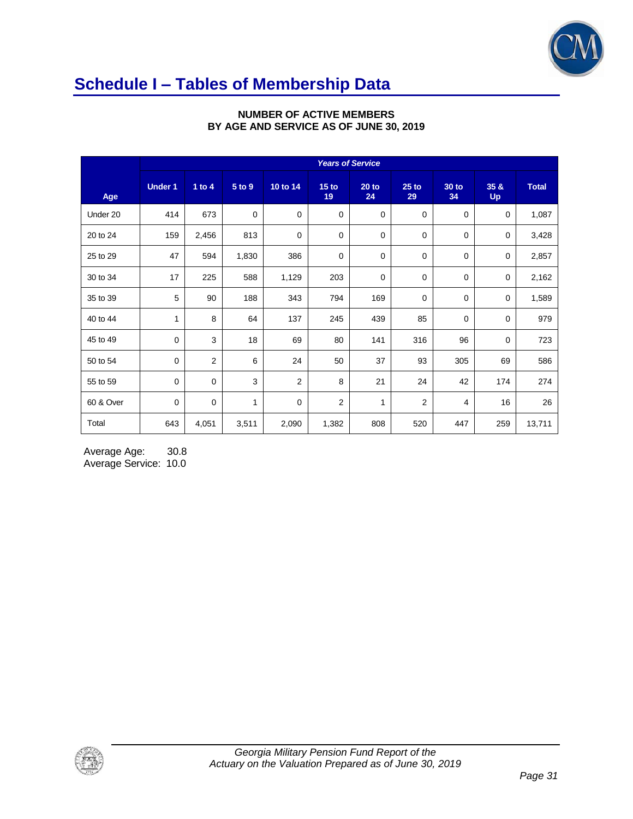

# **Schedule I – Tables of Membership Data**

|           | <b>Years of Service</b> |                |             |             |                        |               |                |             |                   |              |
|-----------|-------------------------|----------------|-------------|-------------|------------------------|---------------|----------------|-------------|-------------------|--------------|
| Age       | <b>Under 1</b>          | 1 to $4$       | 5 to 9      | 10 to 14    | 15 <sub>to</sub><br>19 | $20$ to<br>24 | $25$ to<br>29  | 30 to<br>34 | 35 &<br><b>Up</b> | <b>Total</b> |
| Under 20  | 414                     | 673            | $\mathbf 0$ | $\mathbf 0$ | $\mathbf 0$            | $\mathbf 0$   | 0              | 0           | 0                 | 1,087        |
| 20 to 24  | 159                     | 2,456          | 813         | $\mathbf 0$ | $\mathbf 0$            | 0             | 0              | 0           | 0                 | 3,428        |
| 25 to 29  | 47                      | 594            | 1,830       | 386         | 0                      | 0             | $\mathbf 0$    | 0           | 0                 | 2,857        |
| 30 to 34  | 17                      | 225            | 588         | 1,129       | 203                    | 0             | 0              | 0           | 0                 | 2,162        |
| 35 to 39  | 5                       | 90             | 188         | 343         | 794                    | 169           | 0              | 0           | 0                 | 1,589        |
| 40 to 44  | 1                       | 8              | 64          | 137         | 245                    | 439           | 85             | 0           | 0                 | 979          |
| 45 to 49  | $\mathbf 0$             | 3              | 18          | 69          | 80                     | 141           | 316            | 96          | 0                 | 723          |
| 50 to 54  | $\mathbf 0$             | $\overline{2}$ | 6           | 24          | 50                     | 37            | 93             | 305         | 69                | 586          |
| 55 to 59  | $\mathbf 0$             | $\mathbf 0$    | 3           | 2           | 8                      | 21            | 24             | 42          | 174               | 274          |
| 60 & Over | $\mathbf 0$             | $\mathbf 0$    | 1           | $\mathbf 0$ | 2                      | $\mathbf{1}$  | $\overline{2}$ | 4           | 16                | 26           |
| Total     | 643                     | 4,051          | 3,511       | 2,090       | 1,382                  | 808           | 520            | 447         | 259               | 13,711       |

### **NUMBER OF ACTIVE MEMBERS BY AGE AND SERVICE AS OF JUNE 30, 2019**

Average Age: 30.8 Average Service: 10.0

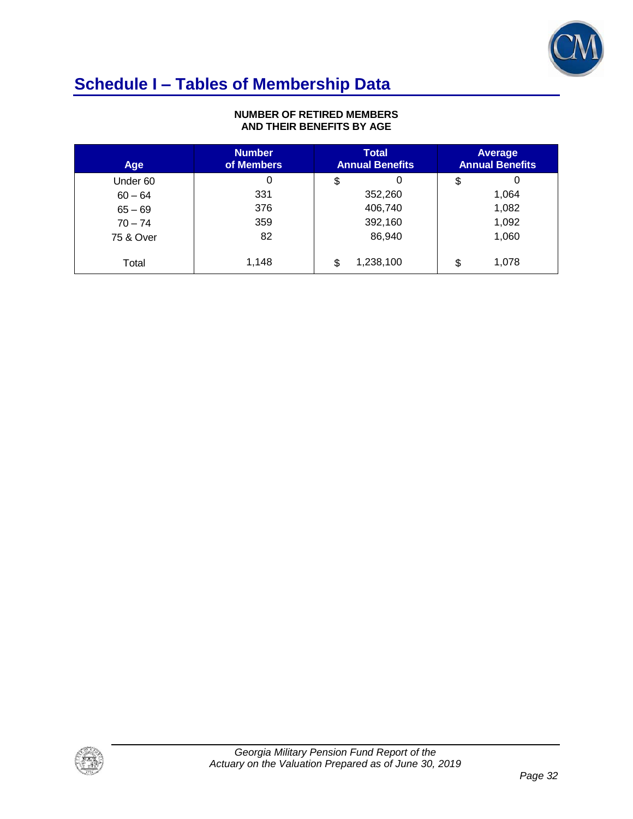

# **Schedule I – Tables of Membership Data**

#### **NUMBER OF RETIRED MEMBERS AND THEIR BENEFITS BY AGE**

| Age       | <b>Number</b><br>of Members | <b>Total</b><br><b>Annual Benefits</b> | Average<br><b>Annual Benefits</b> |
|-----------|-----------------------------|----------------------------------------|-----------------------------------|
| Under 60  | 0                           | 0<br>\$                                | 0<br>\$                           |
| $60 - 64$ | 331                         | 352,260                                | 1,064                             |
| $65 - 69$ | 376                         | 406,740                                | 1,082                             |
| $70 - 74$ | 359                         | 392,160                                | 1,092                             |
| 75 & Over | 82                          | 86,940                                 | 1,060                             |
| Total     | 1,148                       | 1,238,100<br>\$                        | 1,078<br>\$                       |